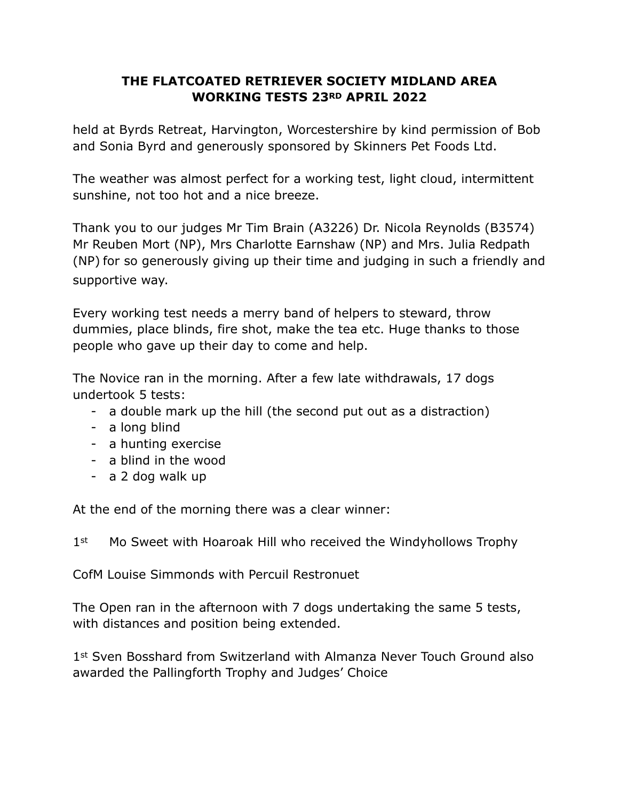## **THE FLATCOATED RETRIEVER SOCIETY MIDLAND AREA WORKING TESTS 23RD APRIL 2022**

held at Byrds Retreat, Harvington, Worcestershire by kind permission of Bob and Sonia Byrd and generously sponsored by Skinners Pet Foods Ltd.

The weather was almost perfect for a working test, light cloud, intermittent sunshine, not too hot and a nice breeze.

Thank you to our judges Mr Tim Brain (A3226) Dr. Nicola Reynolds (B3574) Mr Reuben Mort (NP), Mrs Charlotte Earnshaw (NP) and Mrs. Julia Redpath (NP) for so generously giving up their time and judging in such a friendly and supportive way.

Every working test needs a merry band of helpers to steward, throw dummies, place blinds, fire shot, make the tea etc. Huge thanks to those people who gave up their day to come and help.

The Novice ran in the morning. After a few late withdrawals, 17 dogs undertook 5 tests:

- a double mark up the hill (the second put out as a distraction)
- a long blind
- a hunting exercise
- a blind in the wood
- a 2 dog walk up

At the end of the morning there was a clear winner:

1<sup>st</sup> Mo Sweet with Hoaroak Hill who received the Windyhollows Trophy

CofM Louise Simmonds with Percuil Restronuet

The Open ran in the afternoon with 7 dogs undertaking the same 5 tests, with distances and position being extended.

1st Sven Bosshard from Switzerland with Almanza Never Touch Ground also awarded the Pallingforth Trophy and Judges' Choice